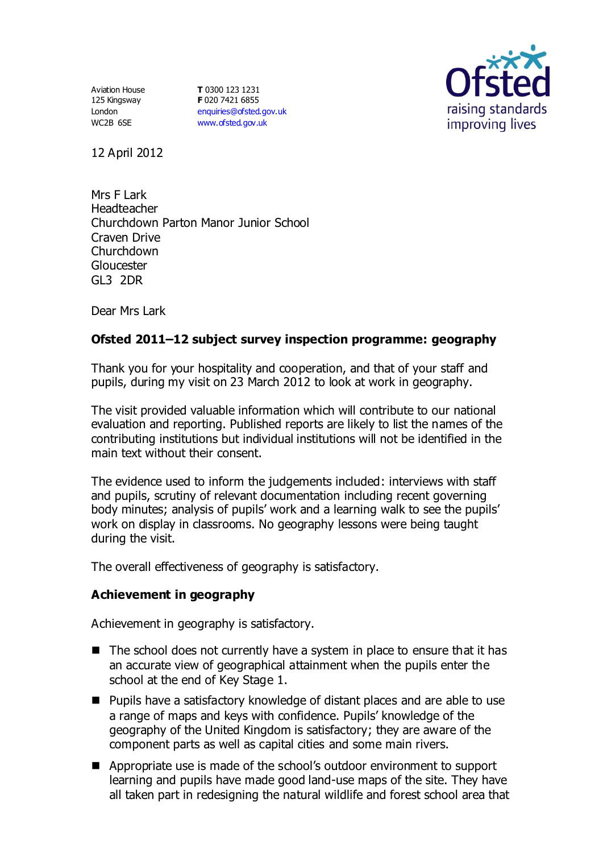Aviation House 125 Kingsway London WC2B 6SE

**T** 0300 123 1231 **F** 020 7421 6855 [enquiries@ofsted.gov.uk](mailto:enquiries@ofsted.gov.uk) [www.ofsted.gov.uk](http://www.ofsted.gov.uk/)



12 April 2012

Mrs F Lark Headteacher Churchdown Parton Manor Junior School Craven Drive Churchdown Gloucester GL3 2DR

Dear Mrs Lark

# **Ofsted 2011–12 subject survey inspection programme: geography**

Thank you for your hospitality and cooperation, and that of your staff and pupils, during my visit on 23 March 2012 to look at work in geography.

The visit provided valuable information which will contribute to our national evaluation and reporting. Published reports are likely to list the names of the contributing institutions but individual institutions will not be identified in the main text without their consent.

The evidence used to inform the judgements included: interviews with staff and pupils, scrutiny of relevant documentation including recent governing body minutes; analysis of pupils' work and a learning walk to see the pupils' work on display in classrooms. No geography lessons were being taught during the visit.

The overall effectiveness of geography is satisfactory.

### **Achievement in geography**

Achievement in geography is satisfactory.

- The school does not currently have a system in place to ensure that it has an accurate view of geographical attainment when the pupils enter the school at the end of Key Stage 1.
- **Pupils have a satisfactory knowledge of distant places and are able to use** a range of maps and keys with confidence. Pupils' knowledge of the geography of the United Kingdom is satisfactory; they are aware of the component parts as well as capital cities and some main rivers.
- Appropriate use is made of the school's outdoor environment to support learning and pupils have made good land-use maps of the site. They have all taken part in redesigning the natural wildlife and forest school area that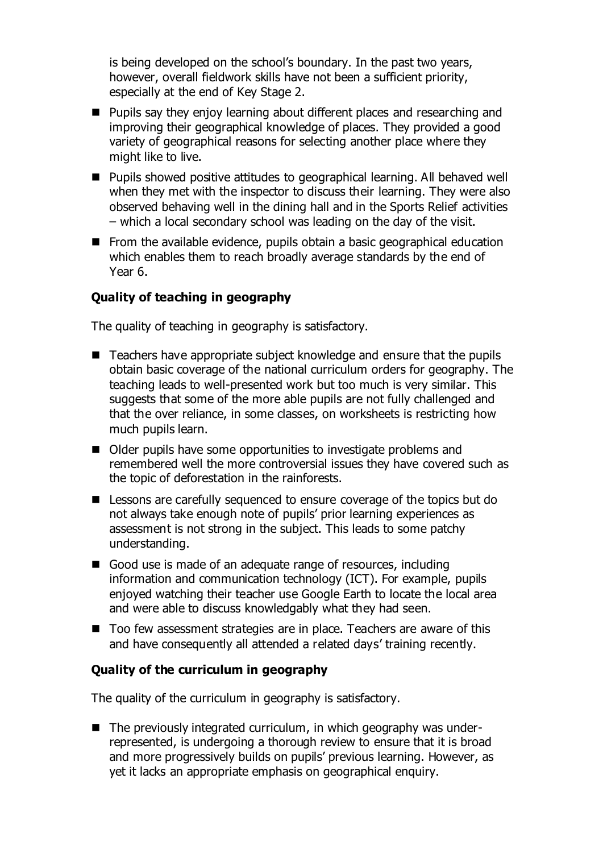is being developed on the school's boundary. In the past two years, however, overall fieldwork skills have not been a sufficient priority, especially at the end of Key Stage 2.

- **Pupils say they enjoy learning about different places and researching and** improving their geographical knowledge of places. They provided a good variety of geographical reasons for selecting another place where they might like to live.
- Pupils showed positive attitudes to geographical learning. All behaved well when they met with the inspector to discuss their learning. They were also observed behaving well in the dining hall and in the Sports Relief activities – which a local secondary school was leading on the day of the visit.
- From the available evidence, pupils obtain a basic geographical education which enables them to reach broadly average standards by the end of Year 6.

# **Quality of teaching in geography**

The quality of teaching in geography is satisfactory.

- Teachers have appropriate subject knowledge and ensure that the pupils obtain basic coverage of the national curriculum orders for geography. The teaching leads to well-presented work but too much is very similar. This suggests that some of the more able pupils are not fully challenged and that the over reliance, in some classes, on worksheets is restricting how much pupils learn.
- Older pupils have some opportunities to investigate problems and remembered well the more controversial issues they have covered such as the topic of deforestation in the rainforests.
- Lessons are carefully sequenced to ensure coverage of the topics but do not always take enough note of pupils' prior learning experiences as assessment is not strong in the subject. This leads to some patchy understanding.
- Good use is made of an adequate range of resources, including information and communication technology (ICT). For example, pupils enjoyed watching their teacher use Google Earth to locate the local area and were able to discuss knowledgably what they had seen.
- Too few assessment strategies are in place. Teachers are aware of this and have consequently all attended a related days' training recently.

### **Quality of the curriculum in geography**

The quality of the curriculum in geography is satisfactory.

 $\blacksquare$  The previously integrated curriculum, in which geography was underrepresented, is undergoing a thorough review to ensure that it is broad and more progressively builds on pupils' previous learning. However, as yet it lacks an appropriate emphasis on geographical enquiry.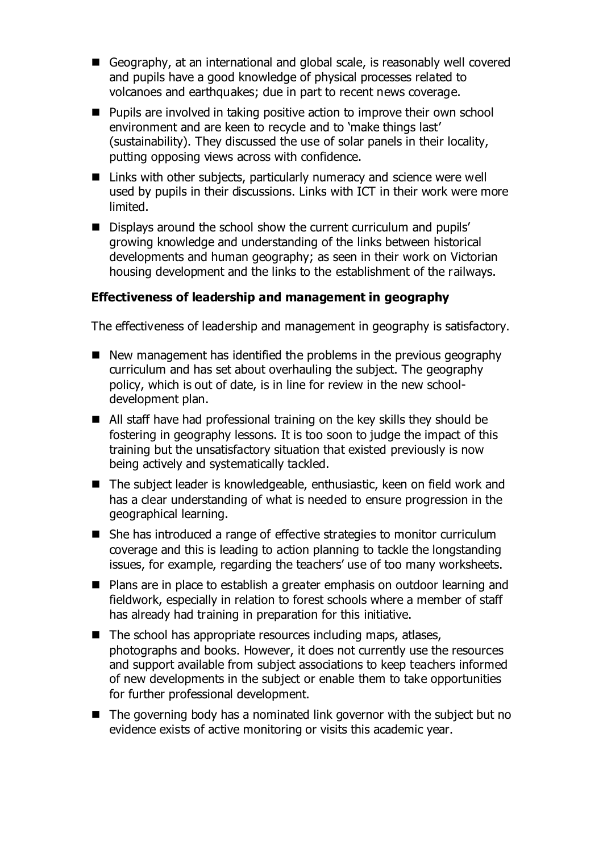- Geography, at an international and global scale, is reasonably well covered and pupils have a good knowledge of physical processes related to volcanoes and earthquakes; due in part to recent news coverage.
- $\blacksquare$  Pupils are involved in taking positive action to improve their own school environment and are keen to recycle and to 'make things last' (sustainability). They discussed the use of solar panels in their locality, putting opposing views across with confidence.
- Links with other subjects, particularly numeracy and science were well used by pupils in their discussions. Links with ICT in their work were more limited.
- Displays around the school show the current curriculum and pupils' growing knowledge and understanding of the links between historical developments and human geography; as seen in their work on Victorian housing development and the links to the establishment of the railways.

# **Effectiveness of leadership and management in geography**

The effectiveness of leadership and management in geography is satisfactory.

- $\blacksquare$  New management has identified the problems in the previous geography curriculum and has set about overhauling the subject. The geography policy, which is out of date, is in line for review in the new schooldevelopment plan.
- All staff have had professional training on the key skills they should be fostering in geography lessons. It is too soon to judge the impact of this training but the unsatisfactory situation that existed previously is now being actively and systematically tackled.
- The subject leader is knowledgeable, enthusiastic, keen on field work and has a clear understanding of what is needed to ensure progression in the geographical learning.
- She has introduced a range of effective strategies to monitor curriculum coverage and this is leading to action planning to tackle the longstanding issues, for example, regarding the teachers' use of too many worksheets.
- Plans are in place to establish a greater emphasis on outdoor learning and fieldwork, especially in relation to forest schools where a member of staff has already had training in preparation for this initiative.
- $\blacksquare$  The school has appropriate resources including maps, atlases, photographs and books. However, it does not currently use the resources and support available from subject associations to keep teachers informed of new developments in the subject or enable them to take opportunities for further professional development.
- $\blacksquare$  The governing body has a nominated link governor with the subject but no evidence exists of active monitoring or visits this academic year.